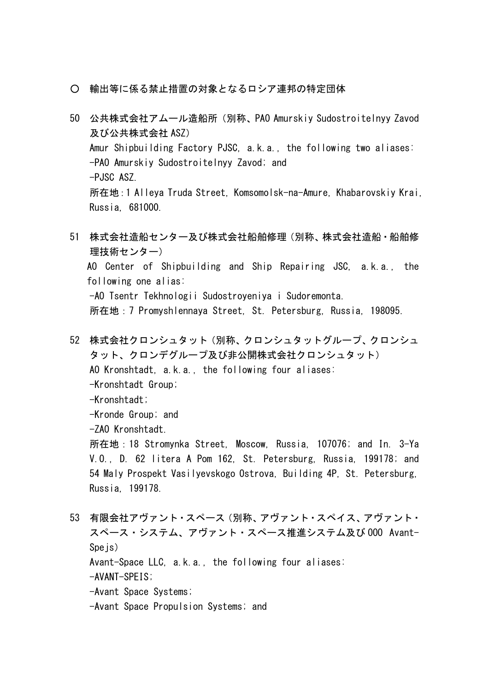- 輸出等に係る禁止措置の対象となるロシア連邦の特定団体
- 50 公共株式会社アムール造船所(別称、PAO Amurskiy Sudostroitelnyy Zavod 及び公共株式会社 ASZ) Amur Shipbuilding Factory PJSC, a.k.a., the following two aliases: -PAO Amurskiy Sudostroitelnyy Zavod; and -PJSC ASZ. 所在地:1 Alleya Truda Street, Komsomolsk-na-Amure, Khabarovskiy Krai, Russia, 681000.
- 51 株式会社造船センター及び株式会社船舶修理(別称、株式会社造船・船舶修 理技術センター) AO Center of Shipbuilding and Ship Repairing JSC, a.k.a., the following one alias: -AO Tsentr Tekhnologii Sudostroyeniya i Sudoremonta. 所在地:7 Promyshlennaya Street, St. Petersburg, Russia, 198095.
- 52 株式会社クロンシュタット(別称、クロンシュタットグループ、クロンシュ タット、クロンデグループ及び非公開株式会社クロンシュタット) AO Kronshtadt, a.k.a., the following four aliases: -Kronshtadt Group; -Kronshtadt; -Kronde Group; and -ZAO Kronshtadt. 所在地:18 Stromynka Street, Moscow, Russia, 107076; and In. 3-Ya V.O., D. 62 litera A Pom 162, St. Petersburg, Russia, 199178; and 54 Maly Prospekt Vasilyevskogo Ostrova, Building 4P, St. Petersburg,
- 53 有限会社アヴァント・スペース(別称、アヴァント・スペイス、アヴァント・ スペース・システム、アヴァント・スペース推進システム及び OOO Avant-Spe is) Avant-Space LLC, a.k.a., the following four aliases: -AVANT-SPEIS; -Avant Space Systems; -Avant Space Propulsion Systems; and

Russia, 199178.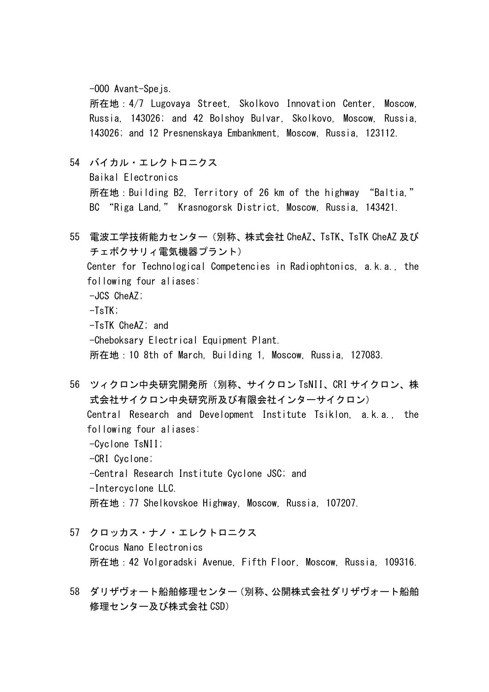-000 Avant-Spe is.

 所在地:4/7 Lugovaya Street, Skolkovo Innovation Center, Moscow, Russia, 143026; and 42 Bolshoy Bulvar, Skolkovo, Moscow, Russia, 143026; and 12 Presnenskaya Embankment, Moscow, Russia, 123112.

54 バイカル・エレクトロニクス

Baikal Electronics 所在地:Building B2, Territory of 26 km of the highway "Baltia," BC "Riga Land," Krasnogorsk District, Moscow, Russia, 143421.

- 55 電波工学技術能力センター(別称、株式会社 CheAZ、TsTK、TsTK CheAZ 及び チェボクサリィ電気機器プラント) Center for Technological Competencies in Radiophtonics, a.k.a., the following four aliases: -JCS CheAZ;  $-TsTK$ ; -TsTK CheAZ; and -Cheboksary Electrical Equipment Plant. 所在地:10 8th of March, Building 1, Moscow, Russia, 127083.
- 56 ツィクロン中央研究開発所(別称、サイクロン TsNII、CRI サイクロン、株 式会社サイクロン中央研究所及び有限会社インターサイクロン) Central Research and Development Institute Tsiklon, a.k.a., the following four aliases: -Cyclone TsNII; -CRI Cyclone; -Central Research Institute Cyclone JSC; and -Intercyclone LLC. 所在地:77 Shelkovskoe Highway, Moscow, Russia, 107207.
- 57 クロッカス・ナノ・エレクトロニクス Crocus Nano Electronics 所在地:42 Volgoradski Avenue, Fifth Floor, Moscow, Russia, 109316.
- 58 ダリザヴォート船舶修理センター(別称、公開株式会社ダリザヴォート船舶 修理センター及び株式会社 CSD)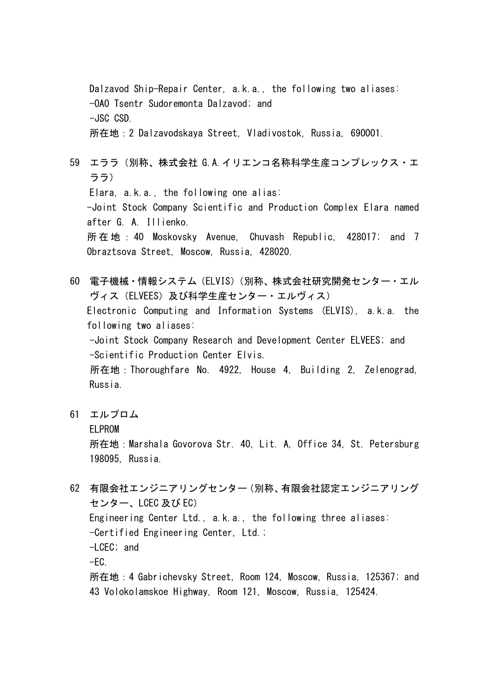Dalzavod Ship-Repair Center, a.k.a., the following two aliases: -OAO Tsentr Sudoremonta Dalzavod; and -JSC CSD. 所在地:2 Dalzavodskaya Street, Vladivostok, Russia, 690001.

- 59 エララ(別称、株式会社 G.A.イリエンコ名称科学生産コンプレックス・エ ララ) Elara, a.k.a., the following one alias: -Joint Stock Company Scientific and Production Complex Elara named after G. A. Illienko. 所在地: 40 Moskovsky Avenue, Chuvash Republic, 428017; and 7 Obraztsova Street, Moscow, Russia, 428020.
- 60 電子機械・情報システム(ELVIS)(別称、株式会社研究開発センター・エル ヴィス(ELVEES)及び科学生産センター・エルヴィス) Electronic Computing and Information Systems (ELVIS), a.k.a. the following two aliases: -Joint Stock Company Research and Development Center ELVEES; and -Scientific Production Center Elvis. 所在地:Thoroughfare No. 4922, House 4, Building 2, Zelenograd, Russia.
- 61 エルプロム

## ELPROM

 所在地:Marshala Govorova Str. 40, Lit. A, Office 34, St. Petersburg 198095, Russia.

62 有限会社エンジニアリングセンター(別称、有限会社認定エンジニアリング センター、LCEC 及び EC) Engineering Center Ltd., a.k.a., the following three aliases: -Certified Engineering Center, Ltd.; -LCEC; and  $-EC$ . 所在地:4 Gabrichevsky Street, Room 124, Moscow, Russia, 125367; and 43 Volokolamskoe Highway, Room 121, Moscow, Russia, 125424.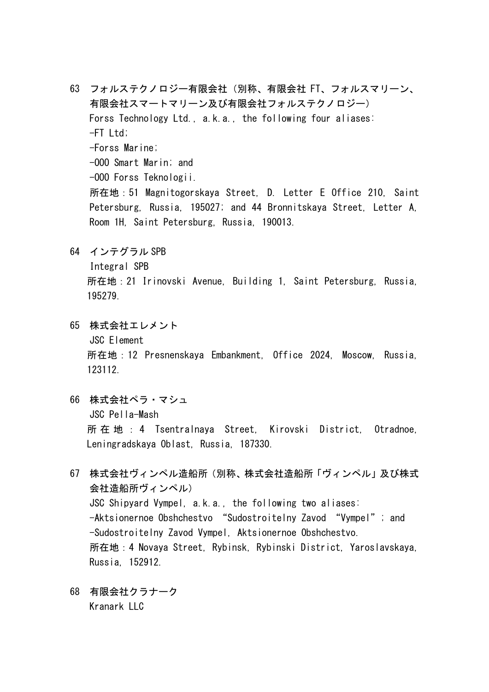- 63 フォルステクノロジー有限会社(別称、有限会社 FT、フォルスマリーン、 有限会社スマートマリーン及び有限会社フォルステクノロジー) Forss Technology Ltd., a.k.a., the following four aliases: -FT Ltd; -Forss Marine; -OOO Smart Marin; and -OOO Forss Teknologii. 所在地:51 Magnitogorskaya Street, D. Letter E Office 210, Saint Petersburg, Russia, 195027; and 44 Bronnitskaya Street, Letter A, Room 1H, Saint Petersburg, Russia, 190013.
- 64 インテグラル SPB
	- Integral SPB

所在地:21 Irinovski Avenue, Building 1, Saint Petersburg, Russia, 195279.

- 65 株式会社エレメント JSC Element 所在地:12 Presnenskaya Embankment, Office 2024, Moscow, Russia, 123112.
- 66 株式会社ペラ・マシュ JSC Pella-Mash 所在地: 4 Tsentralnaya Street, Kirovski District, Otradnoe, Leningradskaya Oblast, Russia, 187330.
- 67 株式会社ヴィンペル造船所(別称、株式会社造船所「ヴィンペル」及び株式 会社造船所ヴィンペル) JSC Shipyard Vympel, a.k.a., the following two aliases: -Aktsionernoe Obshchestvo "Sudostroitelny Zavod "Vympel"; and -Sudostroitelny Zavod Vympel, Aktsionernoe Obshchestvo. 所在地:4 Novaya Street, Rybinsk, Rybinski District, Yaroslavskaya, Russia, 152912.
- 68 有限会社クラナーク Kranark LLC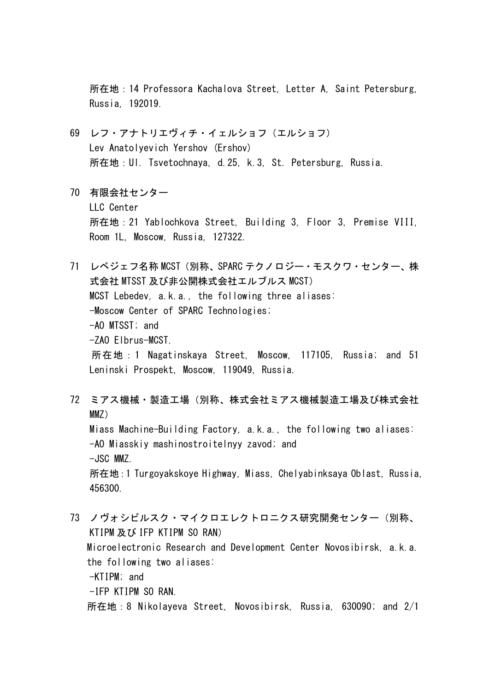所在地:14 Professora Kachalova Street, Letter A, Saint Petersburg, Russia, 192019.

- 69 レフ・アナトリエヴィチ・イェルショフ(エルショフ) Lev Anatolyevich Yershov (Ershov) 所在地:Ul. Tsvetochnaya, d.25, k.3, St. Petersburg, Russia.
- 70 有限会社センター LLC Center 所在地:21 Yablochkova Street, Building 3, Floor 3, Premise VIII, Room 1L, Moscow, Russia, 127322.

71 レベジェフ名称 MCST(別称、SPARC テクノロジー・モスクワ・センター、株 式会社 MTSST 及び非公開株式会社エルブルス MCST) MCST Lebedev, a.k.a., the following three aliases: -Moscow Center of SPARC Technologies; -AO MTSST; and -ZAO Elbrus-MCST. 所在地:1 Nagatinskaya Street, Moscow, 117105, Russia; and 51 Leninski Prospekt, Moscow, 119049, Russia.

- 72 ミアス機械・製造工場(別称、株式会社ミアス機械製造工場及び株式会社 MM<sub>Z</sub>) Miass Machine-Building Factory, a.k.a., the following two aliases: -AO Miasskiy mashinostroitelnyy zavod; and -JSC MMZ. 所在地:1 Turgoyakskoye Highway, Miass, Chelyabinksaya Oblast, Russia, 456300.
- 73 ノヴォシビルスク・マイクロエレクトロニクス研究開発センター(別称、 KTIPM 及び IFP KTIPM SO RAN) Microelectronic Research and Development Center Novosibirsk, a.k.a. the following two aliases: -KTIPM; and -IFP KTIPM SO RAN. 所在地:8 Nikolayeva Street, Novosibirsk, Russia, 630090; and 2/1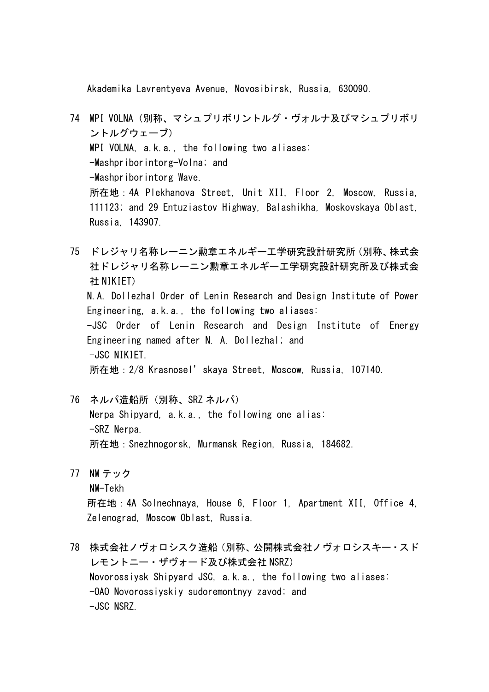Akademika Lavrentyeva Avenue, Novosibirsk, Russia, 630090.

- 74 MPI VOLNA(別称、マシュプリボリントルグ・ヴォルナ及びマシュプリボリ ントルグウェーブ) MPI VOLNA, a.k.a., the following two aliases: -Mashpriborintorg-Volna; and -Mashpriborintorg Wave. 所在地:4A Plekhanova Street, Unit XII, Floor 2, Moscow, Russia, 111123; and 29 Entuziastov Highway, Balashikha, Moskovskaya Oblast, Russia, 143907.
- 75 ドレジャリ名称レーニン勲章エネルギー工学研究設計研究所(別称、株式会 社ドレジャリ名称レーニン勲章エネルギー工学研究設計研究所及び株式会 社 NIKIET) N.A. Dollezhal Order of Lenin Research and Design Institute of Power Engineering, a.k.a., the following two aliases: -JSC Order of Lenin Research and Design Institute of Energy Engineering named after N. A. Dollezhal; and -JSC NIKIET. 所在地:2/8 Krasnosel'skaya Street, Moscow, Russia, 107140.
- 76 ネルパ造船所(別称、SRZ ネルパ) Nerpa Shipyard, a.k.a., the following one alias: -SRZ Nerpa. 所在地:Snezhnogorsk, Murmansk Region, Russia, 184682.
- 77 NM テック NM-Tekh 所在地:4A Solnechnaya, House 6, Floor 1, Apartment XII, Office 4, Zelenograd, Moscow Oblast, Russia.
- 78 株式会社ノヴォロシスク造船(別称、公開株式会社ノヴォロシスキー・スド レモントニー・ザヴォード及び株式会社 NSRZ) Novorossiysk Shipyard JSC, a.k.a., the following two aliases: -OAO Novorossiyskiy sudoremontnyy zavod; and -JSC NSRZ.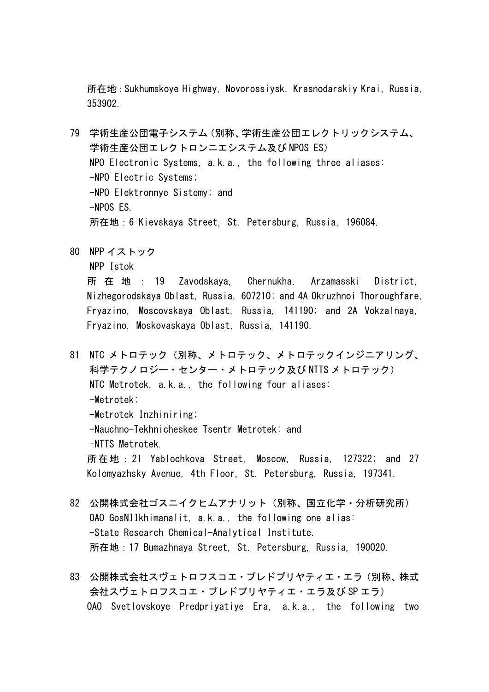所在地:Sukhumskoye Highway, Novorossiysk, Krasnodarskiy Krai, Russia, 353902.

- 79 学術生産公団電子システム(別称、学術生産公団エレクトリックシステム、 学術生産公団エレクトロンニエシステム及び NPOS ES) NPO Electronic Systems, a.k.a., the following three aliases: -NPO Electric Systems; -NPO Elektronnye Sistemy; and -NPOS ES. 所在地:6 Kievskaya Street, St. Petersburg, Russia, 196084.
- 80 NPP イストック
	- NPP Istok

所在地: 19 Zavodskaya, Chernukha, Arzamasski District, Nizhegorodskaya Oblast, Russia, 607210; and 4A Okruzhnoi Thoroughfare, Fryazino, Moscovskaya Oblast, Russia, 141190; and 2A Vokzalnaya, Fryazino, Moskovaskaya Oblast, Russia, 141190.

- 81 NTC メトロテック(別称、メトロテック、メトロテックインジニアリング、 科学テクノロジー・センター・メトロテック及び NTTS メトロテック) NTC Metrotek, a.k.a., the following four aliases: -Metrotek; -Metrotek Inzhiniring; -Nauchno-Tekhnicheskee Tsentr Metrotek; and -NTTS Metrotek. 所在地:21 Yablochkova Street, Moscow, Russia, 127322; and 27 Kolomyazhsky Avenue, 4th Floor, St. Petersburg, Russia, 197341.
- 82 公開株式会社ゴスニイクヒムアナリット(別称、国立化学・分析研究所) OAO GosNIIkhimanalit, a.k.a., the following one alias: -State Research Chemical-Analytical Institute. 所在地:17 Bumazhnaya Street, St. Petersburg, Russia, 190020.
- 83 公開株式会社スヴェトロフスコエ・プレドプリヤティエ・エラ(別称、株式 会社スヴェトロフスコエ・プレドプリヤティエ・エラ及び SP エラ) OAO Svetlovskoye Predpriyatiye Era, a.k.a., the following two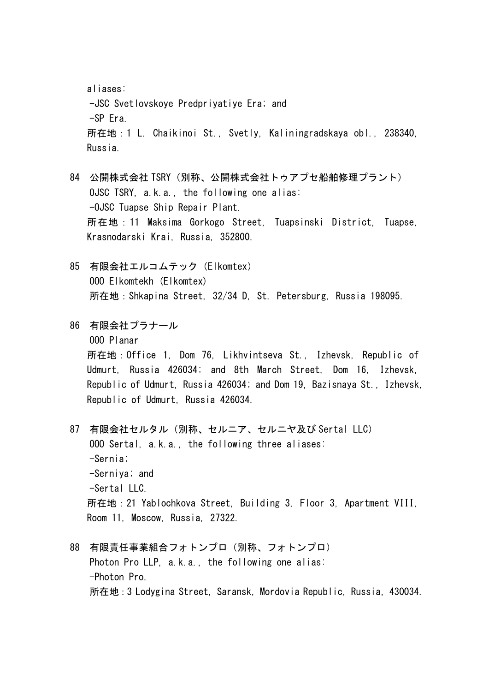aliases: -JSC Svetlovskoye Predpriyatiye Era; and -SP Era. 所在地:1 L. Chaikinoi St., Svetly, Kaliningradskaya obl., 238340, Russia.

- 84 公開株式会社 TSRY(別称、公開株式会社トゥアプセ船舶修理プラント) OJSC TSRY, a.k.a., the following one alias: -OJSC Tuapse Ship Repair Plant. 所在地:11 Maksima Gorkogo Street, Tuapsinski District, Tuapse, Krasnodarski Krai, Russia, 352800.
- 85 有限会社エルコムテック(Elkomtex) OOO Elkomtekh (Elkomtex) 所在地:Shkapina Street, 32/34 D, St. Petersburg, Russia 198095.
- 86 有限会社プラナール OOO Planar 所在地:Office 1, Dom 76, Likhvintseva St., Izhevsk, Republic of Udmurt, Russia 426034; and 8th March Street, Dom 16, Izhevsk, Republic of Udmurt, Russia 426034; and Dom 19, Bazisnaya St., Izhevsk, Republic of Udmurt, Russia 426034.
- 87 有限会社セルタル(別称、セルニア、セルニヤ及び Sertal LLC) OOO Sertal, a.k.a., the following three aliases: -Sernia; -Serniya; and -Sertal LLC. 所在地:21 Yablochkova Street, Building 3, Floor 3, Apartment VIII, Room 11, Moscow, Russia, 27322.
- 88 有限責任事業組合フォトンプロ(別称、フォトンプロ) Photon Pro LLP, a.k.a., the following one alias: -Photon Pro. 所在地:3 Lodygina Street, Saransk, Mordovia Republic, Russia, 430034.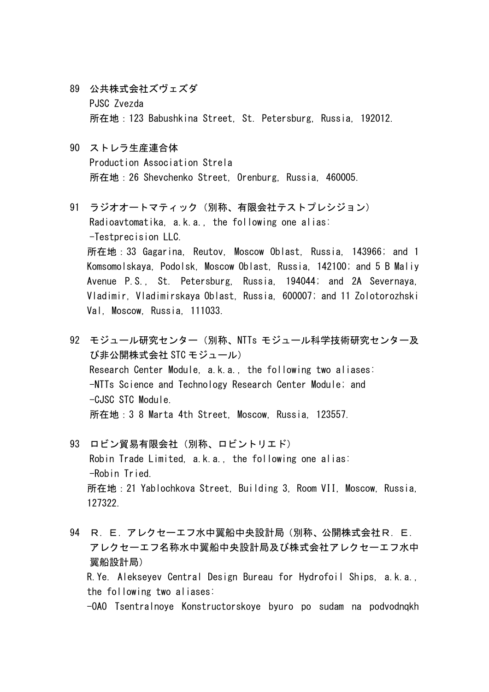- 89 公共株式会社ズヴェズダ PJSC Zvezda 所在地:123 Babushkina Street, St. Petersburg, Russia, 192012.
- 90 ストレラ生産連合体

Production Association Strela 所在地:26 Shevchenko Street, Orenburg, Russia, 460005.

- 91 ラジオオートマティック(別称、有限会社テストプレシジョン) Radioavtomatika, a.k.a., the following one alias: -Testprecision LLC. 所在地:33 Gagarina, Reutov, Moscow Oblast, Russia, 143966; and 1 Komsomolskaya, Podolsk, Moscow Oblast, Russia, 142100; and 5 B Maliy Avenue P.S., St. Petersburg, Russia, 194044; and 2A Severnaya, Vladimir, Vladimirskaya Oblast, Russia, 600007; and 11 Zolotorozhski Val, Moscow, Russia, 111033.
- 92 モジュール研究センター(別称、NTTs モジュール科学技術研究センター及 び非公開株式会社 STC モジュール) Research Center Module, a.k.a., the following two aliases: -NTTs Science and Technology Research Center Module; and -CJSC STC Module. 所在地:3 8 Marta 4th Street, Moscow, Russia, 123557.
- 93 ロビン貿易有限会社(別称、ロビントリエド) Robin Trade Limited, a.k.a., the following one alias: -Robin Tried. 所在地:21 Yablochkova Street, Building 3, Room VII, Moscow, Russia, 127322.
- 94 R.E.アレクセーエフ水中翼船中央設計局(別称、公開株式会社R.E. アレクセーエフ名称水中翼船中央設計局及び株式会社アレクセーエフ水中 翼船設計局) R.Ye. Alekseyev Central Design Bureau for Hydrofoil Ships, a.k.a., the following two aliases: -OAO Tsentralnoye Konstructorskoye byuro po sudam na podvodnqkh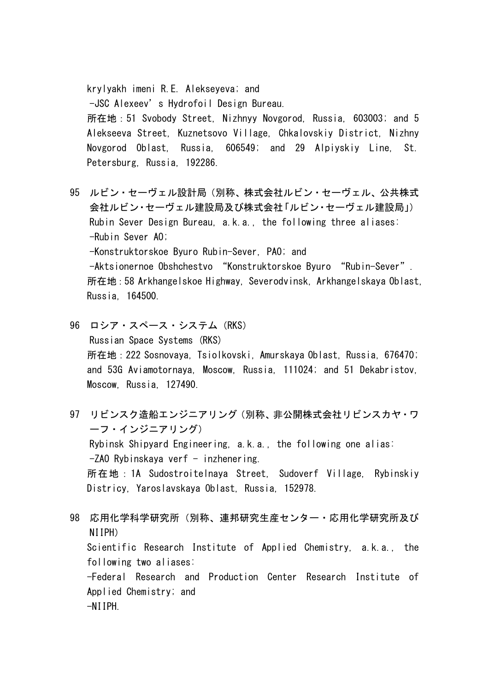krylyakh imeni R.E. Alekseyeva; and -JSC Alexeev's Hydrofoil Design Bureau. 所在地:51 Svobody Street, Nizhnyy Novgorod, Russia, 603003; and 5 Alekseeva Street, Kuznetsovo Village, Chkalovskiy District, Nizhny Novgorod Oblast, Russia, 606549; and 29 Alpiyskiy Line, St. Petersburg, Russia, 192286.

- 95 ルビン・セーヴェル設計局(別称、株式会社ルビン・セーヴェル、公共株式 会社ルビン・セーヴェル建設局及び株式会社「ルビン・セーヴェル建設局」) Rubin Sever Design Bureau, a.k.a., the following three aliases: -Rubin Sever AO; -Konstruktorskoe Byuro Rubin-Sever, PAO; and -Aktsionernoe Obshchestvo "Konstruktorskoe Byuro "Rubin-Sever". 所在地:58 Arkhangelskoe Highway, Severodvinsk, Arkhangelskaya Oblast, Russia, 164500.
- 96 ロシア・スペース・システム(RKS) Russian Space Systems (RKS) 所在地:222 Sosnovaya, Tsiolkovski, Amurskaya Oblast, Russia, 676470; and 53G Aviamotornaya, Moscow, Russia, 111024; and 51 Dekabristov, Moscow, Russia, 127490.
- 97 リビンスク造船エンジニアリング(別称、非公開株式会社リビンスカヤ・ワ ーフ・インジニアリング) Rybinsk Shipyard Engineering, a.k.a., the following one alias:  $-ZAO$  Rybinskaya verf  $-$  inzhenering. 所在地:1A Sudostroitelnaya Street, Sudoverf Village, Rybinskiy Districy, Yaroslavskaya Oblast, Russia, 152978.
- 98 応用化学科学研究所(別称、連邦研究生産センター・応用化学研究所及び NIIPH) Scientific Research Institute of Applied Chemistry, a.k.a., the following two aliases: -Federal Research and Production Center Research Institute of Applied Chemistry; and  $-NI$  IPH.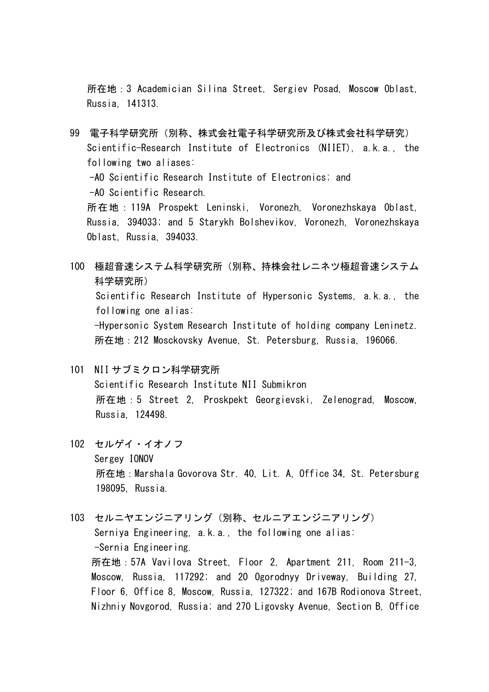所在地:3 Academician Silina Street, Sergiev Posad, Moscow Oblast, Russia, 141313.

- 99 電子科学研究所(別称、株式会社電子科学研究所及び株式会社科学研究) Scientific-Research Institute of Electronics (NIIET), a.k.a., the following two aliases: -AO Scientific Research Institute of Electronics; and -AO Scientific Research. 所在地:119A Prospekt Leninski, Voronezh, Voronezhskaya Oblast, Russia, 394033; and 5 Starykh Bolshevikov, Voronezh, Voronezhskaya Oblast, Russia, 394033.
- 100 極超音速システム科学研究所(別称、持株会社レニネツ極超音速システム 科学研究所) Scientific Research Institute of Hypersonic Systems, a.k.a., the following one alias: -Hypersonic System Research Institute of holding company Leninetz. 所在地:212 Mosckovsky Avenue, St. Petersburg, Russia, 196066.
- 101 NII サブミクロン科学研究所

Scientific Research Institute NII Submikron 所在地:5 Street 2, Proskpekt Georgievski, Zelenograd, Moscow, Russia, 124498.

- 102 セルゲイ・イオノフ Sergey IONOV 所在地:Marshala Govorova Str. 40, Lit. A, Office 34, St. Petersburg 198095, Russia.
- 103 セルニヤエンジニアリング(別称、セルニアエンジニアリング) Serniya Engineering, a.k.a., the following one alias: -Sernia Engineering. 所在地:57A Vavilova Street, Floor 2, Apartment 211, Room 211-3, Moscow, Russia, 117292; and 20 Ogorodnyy Driveway, Building 27, Floor 6, Office 8, Moscow, Russia, 127322; and 167B Rodionova Street, Nizhniy Novgorod, Russia; and 270 Ligovsky Avenue, Section B, Office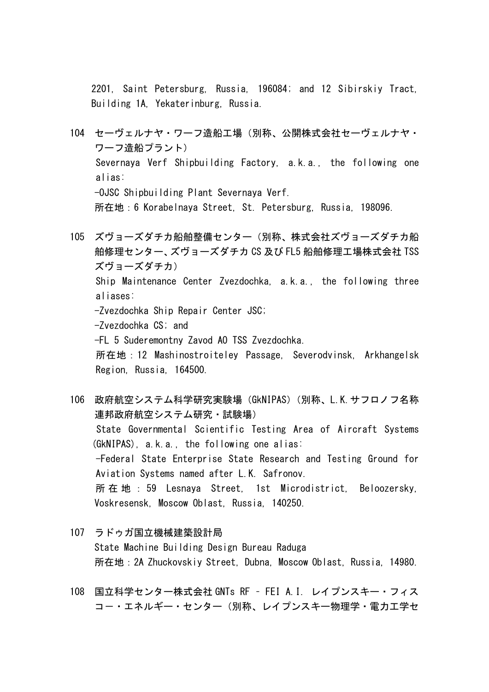2201, Saint Petersburg, Russia, 196084; and 12 Sibirskiy Tract, Building 1A, Yekaterinburg, Russia.

- 104 セーヴェルナヤ・ワーフ造船工場(別称、公開株式会社セーヴェルナヤ・ ワーフ造船プラント) Severnaya Verf Shipbuilding Factory, a.k.a., the following one alias: -OJSC Shipbuilding Plant Severnaya Verf. 所在地:6 Korabelnaya Street, St. Petersburg, Russia, 198096.
- 105 ズヴョーズダチカ船舶整備センター(別称、株式会社ズヴョーズダチカ船 舶修理センター、ズヴョーズダチカ CS 及び FL5 船舶修理工場株式会社 TSS ズヴョーズダチカ) Ship Maintenance Center Zvezdochka, a.k.a., the following three aliases: -Zvezdochka Ship Repair Center JSC; -Zvezdochka CS; and -FL 5 Suderemontny Zavod AO TSS Zvezdochka.

所在地:12 Mashinostroiteley Passage, Severodvinsk, Arkhangelsk Region, Russia, 164500.

106 政府航空システム科学研究実験場(GkNIPAS)(別称、L.K.サフロノフ名称 連邦政府航空システム研究・試験場) State Governmental Scientific Testing Area of Aircraft Systems (GkNIPAS), a.k.a., the following one alias: -Federal State Enterprise State Research and Testing Ground for Aviation Systems named after L.K. Safronov. 所在地: 59 Lesnaya Street, 1st Microdistrict, Beloozersky, Voskresensk, Moscow Oblast, Russia, 140250.

- 107 ラドゥガ国立機械建築設計局 State Machine Building Design Bureau Raduga 所在地:2A Zhuckovskiy Street, Dubna, Moscow Oblast, Russia, 14980.
- 108 国立科学センター株式会社 GNTs RF FEI A.I. レイプンスキー・フィス コー・エネルギー・センター(別称、レイプンスキー物理学・電力工学セ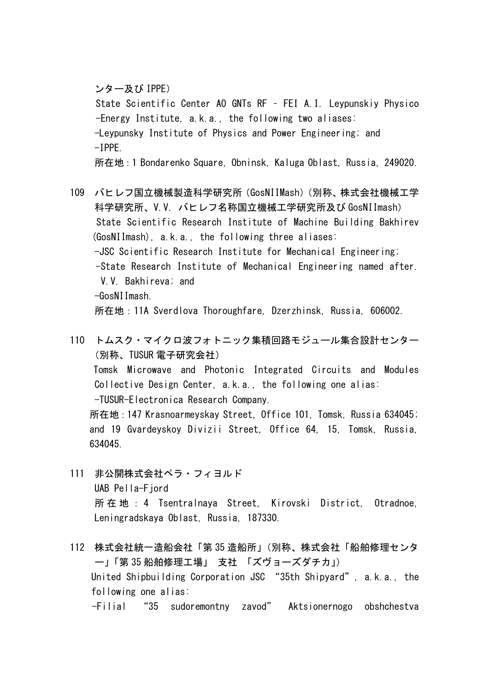ンター及び IPPE)

State Scientific Center AO GNTs RF – FEI A.I. Leypunskiy Physico -Energy Institute, a.k.a., the following two aliases: -Leypunsky Institute of Physics and Power Engineering; and  $-I$  PPE.

所在地:1 Bondarenko Square, Obninsk, Kaluga Oblast, Russia, 249020.

- 109 バヒレフ国立機械製造科学研究所(GosNIIMash)(別称、株式会社機械工学 科学研究所、V.V. バヒレフ名称国立機械工学研究所及び GosNIImash) State Scientific Research Institute of Machine Building Bakhirev (GosNIImash), a.k.a., the following three aliases: -JSC Scientific Research Institute for Mechanical Engineering; -State Research Institute of Mechanical Engineering named after. V.V. Bakhireva; and -GosNIImash. 所在地:11A Sverdlova Thoroughfare, Dzerzhinsk, Russia, 606002.
- 110 トムスク・マイクロ波フォトニック集積回路モジュール集合設計センター (別称、TUSUR 電子研究会社) Tomsk Microwave and Photonic Integrated Circuits and Modules Collective Design Center, a.k.a., the following one alias: -TUSUR-Electronica Research Company. 所在地:147 Krasnoarmeyskay Street, Office 101, Tomsk, Russia 634045; and 19 Gvardeyskoy Divizii Street, Office 64, 15, Tomsk, Russia, 634045.
- 111 非公開株式会社ペラ・フィヨルド UAB Pella-Fiord 所在地: 4 Tsentralnaya Street, Kirovski District, Otradnoe, Leningradskaya Oblast, Russia, 187330.
- 112 株式会社統一造船会社「第 35 造船所」(別称、株式会社「船舶修理センタ ー」「第 35 船舶修理工場」 支社 「ズヴョーズダチカ」) United Shipbuilding Corporation JSC "35th Shipyard", a.k.a., the following one alias: -Filial "35 sudoremontny zavod" Aktsionernogo obshchestva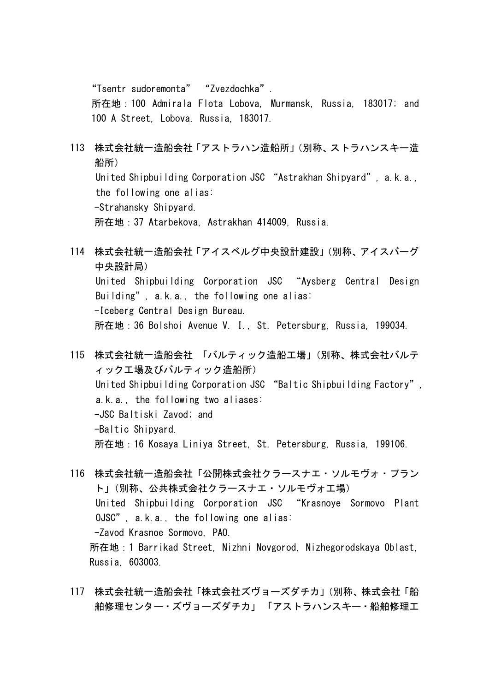"Tsentr sudoremonta" "Zvezdochka". 所在地:100 Admirala Flota Lobova, Murmansk, Russia, 183017; and 100 A Street, Lobova, Russia, 183017.

- 113 株式会社統一造船会社「アストラハン造船所」(別称、ストラハンスキー造 船所) United Shipbuilding Corporation JSC "Astrakhan Shipyard", a.k.a., the following one alias: -Strahansky Shipyard. 所在地:37 Atarbekova, Astrakhan 414009, Russia.
- 114 株式会社統一造船会社「アイスベルグ中央設計建設」(別称、アイスバーグ 中央設計局) United Shipbuilding Corporation JSC "Aysberg Central Design Building", a.k.a., the following one alias: -Iceberg Central Design Bureau. 所在地:36 Bolshoi Avenue V. I., St. Petersburg, Russia, 199034.
- 115 株式会社統一造船会社 「バルティック造船工場」(別称、株式会社バルテ ィック工場及びバルティック造船所) United Shipbuilding Corporation JSC "Baltic Shipbuilding Factory", a.k.a., the following two aliases: -JSC Baltiski Zavod; and -Baltic Shipyard. 所在地:16 Kosaya Liniya Street, St. Petersburg, Russia, 199106.
- 116 株式会社統一造船会社「公開株式会社クラースナエ・ソルモヴォ・プラン ト」(別称、公共株式会社クラースナエ・ソルモヴォ工場) United Shipbuilding Corporation JSC "Krasnoye Sormovo Plant OJSC", a.k.a., the following one alias: -Zavod Krasnoe Sormovo, PAO. 所在地:1 Barrikad Street, Nizhni Novgorod, Nizhegorodskaya Oblast, Russia, 603003.
- 117 株式会社統一造船会社「株式会社ズヴョーズダチカ」(別称、株式会社「船 舶修理センター・ズヴョーズダチカ」 「アストラハンスキー・船舶修理工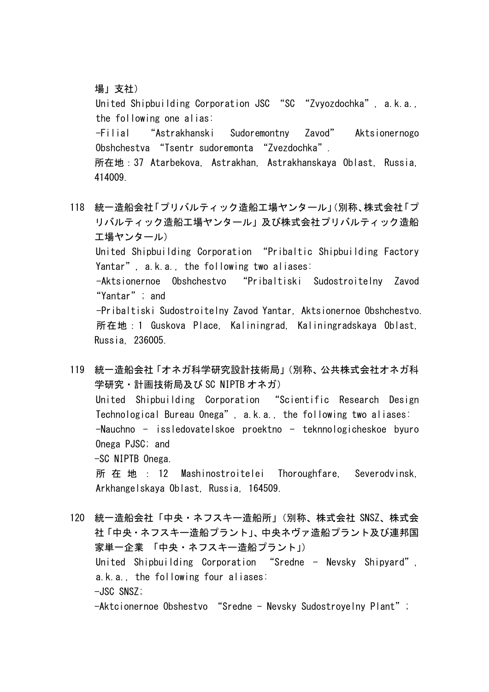場」支社)

United Shipbuilding Corporation JSC "SC "Zvyozdochka", a.k.a., the following one alias:

-Filial "Astrakhanski Sudoremontny Zavod" Aktsionernogo Obshchestva "Tsentr sudoremonta "Zvezdochka".

 所在地:37 Atarbekova, Astrakhan, Astrakhanskaya Oblast, Russia, 414009.

118 統一造船会社「プリバルティック造船工場ヤンタール」(別称、株式会社「プ リバルティック造船工場ヤンタール」及び株式会社プリバルティック造船 工場ヤンタール) United Shipbuilding Corporation "Pribaltic Shipbuilding Factory Yantar", a.k.a., the following two aliases: -Aktsionernoe Obshchestvo "Pribaltiski Sudostroitelny Zavod "Yantar"; and -Pribaltiski Sudostroitelny Zavod Yantar, Aktsionernoe Obshchestvo. 所在地:1 Guskova Place, Kaliningrad, Kaliningradskaya Oblast, Russia, 236005.

119 統一造船会社「オネガ科学研究設計技術局」(別称、公共株式会社オネガ科 学研究・計画技術局及び SC NIPTB オネガ) United Shipbuilding Corporation "Scientific Research Design Technological Bureau Onega", a.k.a., the following two aliases: -Nauchno - issledovatelskoe proektno - teknnologicheskoe byuro Onega PJSC; and -SC NIPTB Onega. 所在地: 12 Mashinostroitelei Thoroughfare, Severodvinsk, Arkhangelskaya Oblast, Russia, 164509.

120 統一造船会社「中央・ネフスキー造船所」(別称、株式会社 SNSZ、株式会 社「中央・ネフスキー造船プラント」、中央ネヴァ造船プラント及び連邦国 家単一企業 「中央・ネフスキー造船プラント」) United Shipbuilding Corporation "Sredne - Nevsky Shipyard", a.k.a., the following four aliases: -JSC SNSZ; -Aktcionernoe Obshestvo "Sredne - Nevsky Sudostroyelny Plant";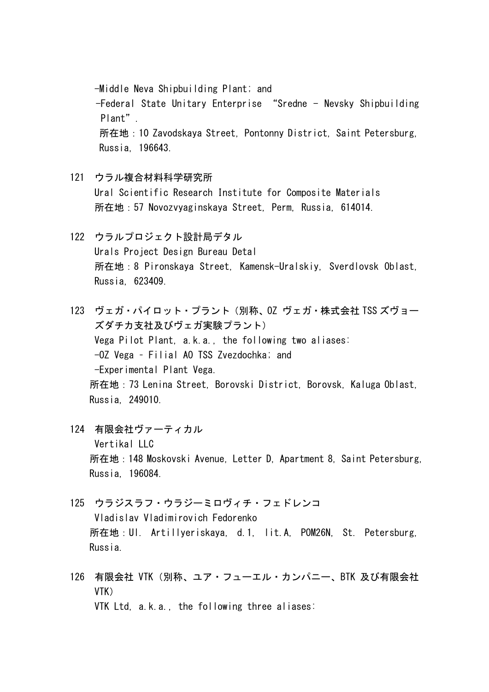-Middle Neva Shipbuilding Plant; and -Federal State Unitary Enterprise "Sredne - Nevsky Shipbuilding Plant". 所在地:10 Zavodskaya Street, Pontonny District, Saint Petersburg, Russia, 196643.

- 121 ウラル複合材料科学研究所 Ural Scientific Research Institute for Composite Materials 所在地:57 Novozvyaginskaya Street, Perm, Russia, 614014.
- 122 ウラルプロジェクト設計局デタル Urals Project Design Bureau Detal 所在地:8 Pironskaya Street, Kamensk-Uralskiy, Sverdlovsk Oblast, Russia, 623409.
- 123 ヴェガ・パイロット・プラント(別称、OZ ヴェガ・株式会社 TSS ズヴョー ズダチカ支社及びヴェガ実験プラント) Vega Pilot Plant, a.k.a., the following two aliases: -OZ Vega – Filial AO TSS Zvezdochka; and -Experimental Plant Vega. 所在地:73 Lenina Street, Borovski District, Borovsk, Kaluga Oblast, Russia, 249010.
- 124 有限会社ヴァーティカル Vertikal LLC 所在地:148 Moskovski Avenue, Letter D, Apartment 8, Saint Petersburg, Russia, 196084.
- 125 ウラジスラフ・ウラジーミロヴィチ・フェドレンコ Vladislav Vladimirovich Fedorenko 所在地:Ul. Artillyeriskaya, d.1, lit.A, POM26N, St. Petersburg, Russia.
- 126 有限会社 VTK (別称、ユア・フューエル・カンパニー、BTK 及び有限会社 VTK) VTK Ltd, a.k.a., the following three aliases: